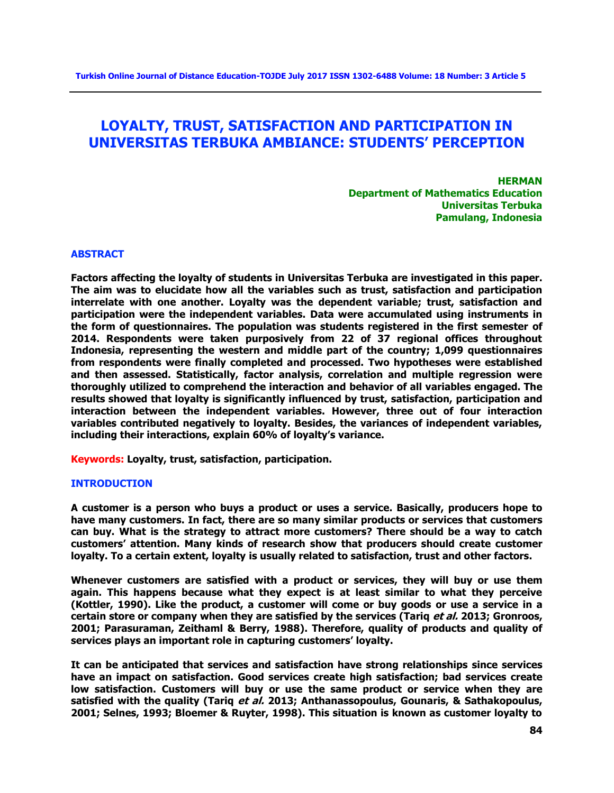# **LOYALTY, TRUST, SATISFACTION AND PARTICIPATION IN UNIVERSITAS TERBUKA AMBIANCE: STUDENTS' PERCEPTION**

**HERMAN Department of Mathematics Education Universitas Terbuka Pamulang, Indonesia**

#### **ABSTRACT**

**Factors affecting the loyalty of students in Universitas Terbuka are investigated in this paper. The aim was to elucidate how all the variables such as trust, satisfaction and participation interrelate with one another. Loyalty was the dependent variable; trust, satisfaction and participation were the independent variables. Data were accumulated using instruments in the form of questionnaires. The population was students registered in the first semester of 2014. Respondents were taken purposively from 22 of 37 regional offices throughout Indonesia, representing the western and middle part of the country; 1,099 questionnaires from respondents were finally completed and processed. Two hypotheses were established and then assessed. Statistically, factor analysis, correlation and multiple regression were thoroughly utilized to comprehend the interaction and behavior of all variables engaged. The results showed that loyalty is significantly influenced by trust, satisfaction, participation and interaction between the independent variables. However, three out of four interaction variables contributed negatively to loyalty. Besides, the variances of independent variables, including their interactions, explain 60% of loyalty's variance.**

**Keywords: Loyalty, trust, satisfaction, participation.**

#### **INTRODUCTION**

**A customer is a person who buys a product or uses a service. Basically, producers hope to have many customers. In fact, there are so many similar products or services that customers can buy. What is the strategy to attract more customers? There should be a way to catch customers' attention. Many kinds of research show that producers should create customer loyalty. To a certain extent, loyalty is usually related to satisfaction, trust and other factors.**

**Whenever customers are satisfied with a product or services, they will buy or use them again. This happens because what they expect is at least similar to what they perceive (Kottler, 1990). Like the product, a customer will come or buy goods or use a service in a certain store or company when they are satisfied by the services (Tariq et al. 2013; Gronroos, 2001; Parasuraman, Zeithaml & Berry, 1988). Therefore, quality of products and quality of services plays an important role in capturing customers' loyalty.**

**It can be anticipated that services and satisfaction have strong relationships since services have an impact on satisfaction. Good services create high satisfaction; bad services create low satisfaction. Customers will buy or use the same product or service when they are satisfied with the quality (Tariq et al. 2013; Anthanassopoulus, Gounaris, & Sathakopoulus, 2001; Selnes, 1993; Bloemer & Ruyter, 1998). This situation is known as customer loyalty to**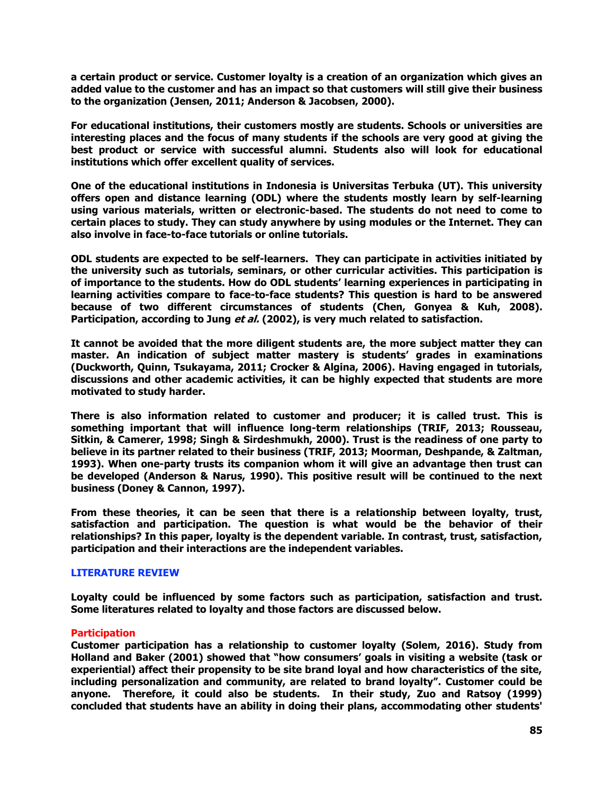**a certain product or service. Customer loyalty is a creation of an organization which gives an added value to the customer and has an impact so that customers will still give their business to the organization (Jensen, 2011; Anderson & Jacobsen, 2000).**

**For educational institutions, their customers mostly are students. Schools or universities are interesting places and the focus of many students if the schools are very good at giving the best product or service with successful alumni. Students also will look for educational institutions which offer excellent quality of services.**

**One of the educational institutions in Indonesia is Universitas Terbuka (UT). This university offers open and distance learning (ODL) where the students mostly learn by self-learning using various materials, written or electronic-based. The students do not need to come to certain places to study. They can study anywhere by using modules or the Internet. They can also involve in face-to-face tutorials or online tutorials.**

**ODL students are expected to be self-learners. They can participate in activities initiated by the university such as tutorials, seminars, or other curricular activities. This participation is of importance to the students. How do ODL students' learning experiences in participating in learning activities compare to face-to-face students? This question is hard to be answered because of two different circumstances of students (Chen, Gonyea & Kuh, 2008). Participation, according to Jung et al. (2002), is very much related to satisfaction.**

**It cannot be avoided that the more diligent students are, the more subject matter they can master. An indication of subject matter mastery is students' grades in examinations (Duckworth, Quinn, Tsukayama, 2011; Crocker & Algina, 2006). Having engaged in tutorials, discussions and other academic activities, it can be highly expected that students are more motivated to study harder.**

**There is also information related to customer and producer; it is called trust. This is something important that will influence long-term relationships (TRIF, 2013; Rousseau, Sitkin, & Camerer, 1998; Singh & Sirdeshmukh, 2000). Trust is the readiness of one party to believe in its partner related to their business (TRIF, 2013; Moorman, Deshpande, & Zaltman, 1993). When one-party trusts its companion whom it will give an advantage then trust can be developed (Anderson & Narus, 1990). This positive result will be continued to the next business (Doney & Cannon, 1997).**

**From these theories, it can be seen that there is a relationship between loyalty, trust, satisfaction and participation. The question is what would be the behavior of their relationships? In this paper, loyalty is the dependent variable. In contrast, trust, satisfaction, participation and their interactions are the independent variables.**

# **LITERATURE REVIEW**

**Loyalty could be influenced by some factors such as participation, satisfaction and trust. Some literatures related to loyalty and those factors are discussed below.**

# **Participation**

**Customer participation has a relationship to customer loyalty (Solem, 2016). Study from Holland and Baker (2001) showed that "how consumers' goals in visiting a website (task or experiential) affect their propensity to be site brand loyal and how characteristics of the site, including personalization and community, are related to brand loyalty". Customer could be anyone. Therefore, it could also be students. In their study, Zuo and Ratsoy (1999) concluded that students have an ability in doing their plans, accommodating other students'**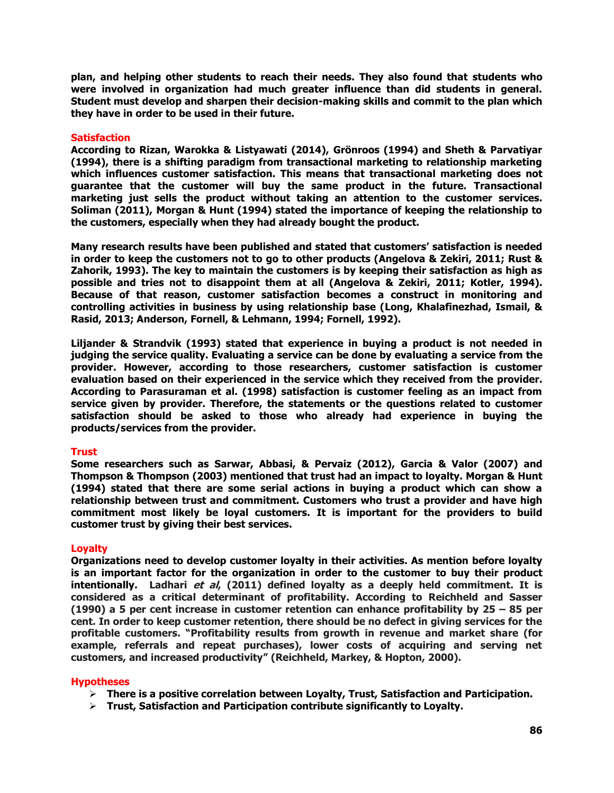**plan, and helping other students to reach their needs. They also found that students who were involved in organization had much greater influence than did students in general. Student must develop and sharpen their decision-making skills and commit to the plan which they have in order to be used in their future.**

## **Satisfaction**

**According to Rizan, Warokka & Listyawati (2014), Grönroos (1994) and Sheth & Parvatiyar (1994), there is a shifting paradigm from transactional marketing to relationship marketing which influences customer satisfaction. This means that transactional marketing does not guarantee that the customer will buy the same product in the future. Transactional marketing just sells the product without taking an attention to the customer services. Soliman (2011), Morgan & Hunt (1994) stated the importance of keeping the relationship to the customers, especially when they had already bought the product.**

**Many research results have been published and stated that customers' satisfaction is needed in order to keep the customers not to go to other products (Angelova & Zekiri, 2011; Rust & Zahorik, 1993). The key to maintain the customers is by keeping their satisfaction as high as possible and tries not to disappoint them at all (Angelova & Zekiri, 2011; Kotler, 1994). Because of that reason, customer satisfaction becomes a construct in monitoring and controlling activities in business by using relationship base (Long, Khalafinezhad, Ismail, & Rasid, 2013; Anderson, Fornell, & Lehmann, 1994; Fornell, 1992).**

**Liljander & Strandvik (1993) stated that experience in buying a product is not needed in judging the service quality. Evaluating a service can be done by evaluating a service from the provider. However, according to those researchers, customer satisfaction is customer evaluation based on their experienced in the service which they received from the provider. According to Parasuraman et al. (1998) satisfaction is customer feeling as an impact from service given by provider. Therefore, the statements or the questions related to customer satisfaction should be asked to those who already had experience in buying the products/services from the provider.**

## **Trust**

**Some researchers such as Sarwar, Abbasi, & Pervaiz (2012), Garcia & Valor (2007) and Thompson & Thompson (2003) mentioned that trust had an impact to loyalty. Morgan & Hunt (1994) stated that there are some serial actions in buying a product which can show a relationship between trust and commitment. Customers who trust a provider and have high commitment most likely be loyal customers. It is important for the providers to build customer trust by giving their best services.** 

# **Loyalty**

**Organizations need to develop customer loyalty in their activities. As mention before loyalty is an important factor for the organization in order to the customer to buy their product intentionally. Ladhari et al, (2011) defined loyalty as a deeply held commitment. It is considered as a critical determinant of profitability. According to Reichheld and Sasser (1990) a 5 per cent increase in customer retention can enhance profitability by 25 – 85 per cent. In order to keep customer retention, there should be no defect in giving services for the profitable customers. "Profitability results from growth in revenue and market share (for example, referrals and repeat purchases), lower costs of acquiring and serving net customers, and increased productivity" (Reichheld, Markey, & Hopton, 2000).**

## **Hypotheses**

- **There is a positive correlation between Loyalty, Trust, Satisfaction and Participation.**
- **Trust, Satisfaction and Participation contribute significantly to Loyalty.**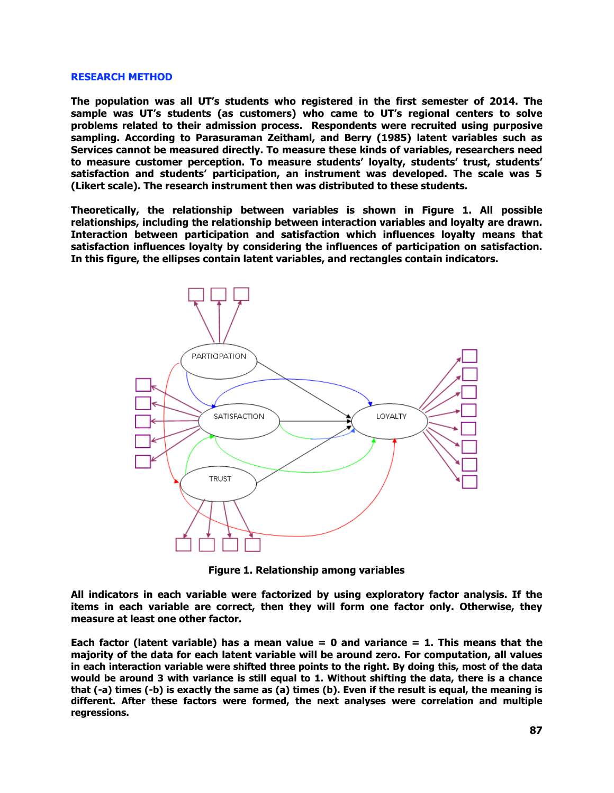#### **RESEARCH METHOD**

**The population was all UT's students who registered in the first semester of 2014. The sample was UT's students (as customers) who came to UT's regional centers to solve problems related to their admission process. Respondents were recruited using purposive sampling. According to Parasuraman Zeithaml, and Berry (1985) latent variables such as Services cannot be measured directly. To measure these kinds of variables, researchers need to measure customer perception. To measure students' loyalty, students' trust, students' satisfaction and students' participation, an instrument was developed. The scale was 5 (Likert scale). The research instrument then was distributed to these students.**

**Theoretically, the relationship between variables is shown in Figure 1. All possible relationships, including the relationship between interaction variables and loyalty are drawn. Interaction between participation and satisfaction which influences loyalty means that satisfaction influences loyalty by considering the influences of participation on satisfaction. In this figure, the ellipses contain latent variables, and rectangles contain indicators.**



**Figure 1. Relationship among variables**

**All indicators in each variable were factorized by using exploratory factor analysis. If the items in each variable are correct, then they will form one factor only. Otherwise, they measure at least one other factor.** 

**Each factor (latent variable) has a mean value = 0 and variance = 1. This means that the majority of the data for each latent variable will be around zero. For computation, all values in each interaction variable were shifted three points to the right. By doing this, most of the data would be around 3 with variance is still equal to 1. Without shifting the data, there is a chance that (-a) times (-b) is exactly the same as (a) times (b). Even if the result is equal, the meaning is different. After these factors were formed, the next analyses were correlation and multiple regressions.**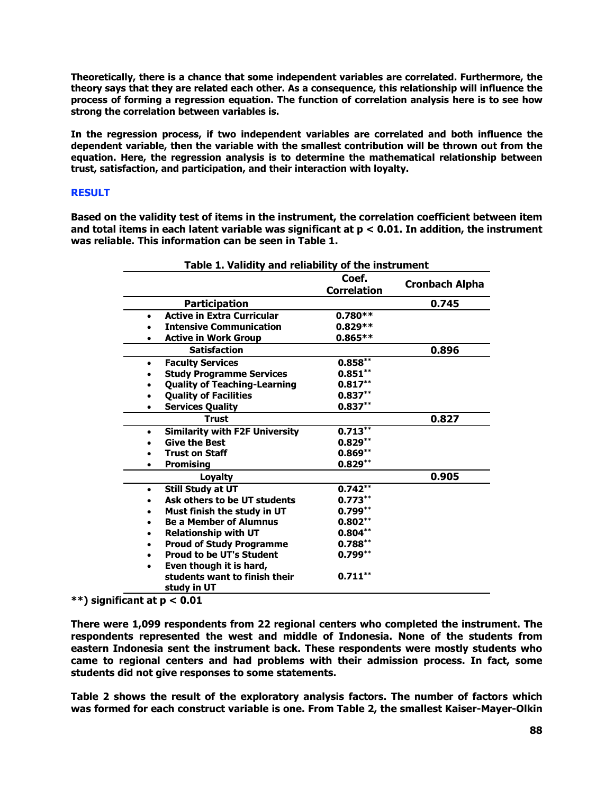**Theoretically, there is a chance that some independent variables are correlated. Furthermore, the theory says that they are related each other. As a consequence, this relationship will influence the process of forming a regression equation. The function of correlation analysis here is to see how strong the correlation between variables is.**

**In the regression process, if two independent variables are correlated and both influence the dependent variable, then the variable with the smallest contribution will be thrown out from the equation. Here, the regression analysis is to determine the mathematical relationship between trust, satisfaction, and participation, and their interaction with loyalty.**

## **RESULT**

**Based on the validity test of items in the instrument, the correlation coefficient between item and total items in each latent variable was significant at p < 0.01. In addition, the instrument was reliable. This information can be seen in Table 1.**

| Table 1. Validity and reliability of the instrument |                                              |                             |                       |  |  |  |
|-----------------------------------------------------|----------------------------------------------|-----------------------------|-----------------------|--|--|--|
|                                                     |                                              | Coef.<br><b>Correlation</b> | <b>Cronbach Alpha</b> |  |  |  |
|                                                     | <b>Participation</b>                         |                             | 0.745                 |  |  |  |
| $\bullet$                                           | <b>Active in Extra Curricular</b>            | $0.780**$                   |                       |  |  |  |
|                                                     | <b>Intensive Communication</b>               | $0.829**$                   |                       |  |  |  |
|                                                     | <b>Active in Work Group</b>                  | $0.865**$                   |                       |  |  |  |
|                                                     | <b>Satisfaction</b>                          |                             | 0.896                 |  |  |  |
| ٠                                                   | <b>Faculty Services</b>                      | $0.858***$                  |                       |  |  |  |
|                                                     | <b>Study Programme Services</b>              | $0.851**$                   |                       |  |  |  |
|                                                     | <b>Quality of Teaching-Learning</b>          | $0.817**$                   |                       |  |  |  |
| $\bullet$                                           | <b>Quality of Facilities</b>                 | $0.837**$                   |                       |  |  |  |
|                                                     | <b>Services Quality</b>                      | $0.837**$                   |                       |  |  |  |
|                                                     | <b>Trust</b>                                 |                             | 0.827                 |  |  |  |
| $\bullet$                                           | <b>Similarity with F2F University</b>        | $0.713***$                  |                       |  |  |  |
|                                                     | <b>Give the Best</b>                         | $0.829**$                   |                       |  |  |  |
|                                                     | <b>Trust on Staff</b>                        | $0.869**$                   |                       |  |  |  |
|                                                     | <b>Promising</b>                             | $0.829**$                   |                       |  |  |  |
|                                                     | <b>Loyalty</b>                               |                             | 0.905                 |  |  |  |
| ٠                                                   | Still Study at UT                            | $0.742***$                  |                       |  |  |  |
|                                                     | Ask others to be UT students                 | $0.773**$                   |                       |  |  |  |
|                                                     | Must finish the study in UT                  | $0.799***$                  |                       |  |  |  |
|                                                     | <b>Be a Member of Alumnus</b>                | $0.802**$                   |                       |  |  |  |
|                                                     | <b>Relationship with UT</b>                  | $0.804***$                  |                       |  |  |  |
| $\bullet$                                           | <b>Proud of Study Programme</b>              | $0.788**$                   |                       |  |  |  |
|                                                     | <b>Proud to be UT's Student</b>              | $0.799**$                   |                       |  |  |  |
| $\bullet$                                           | Even though it is hard,                      |                             |                       |  |  |  |
|                                                     | students want to finish their<br>study in UT | $0.711***$                  |                       |  |  |  |

**\*\*) significant at p < 0.01**

**There were 1,099 respondents from 22 regional centers who completed the instrument. The respondents represented the west and middle of Indonesia. None of the students from eastern Indonesia sent the instrument back. These respondents were mostly students who came to regional centers and had problems with their admission process. In fact, some students did not give responses to some statements.**

**Table 2 shows the result of the exploratory analysis factors. The number of factors which was formed for each construct variable is one. From Table 2, the smallest Kaiser-Mayer-Olkin**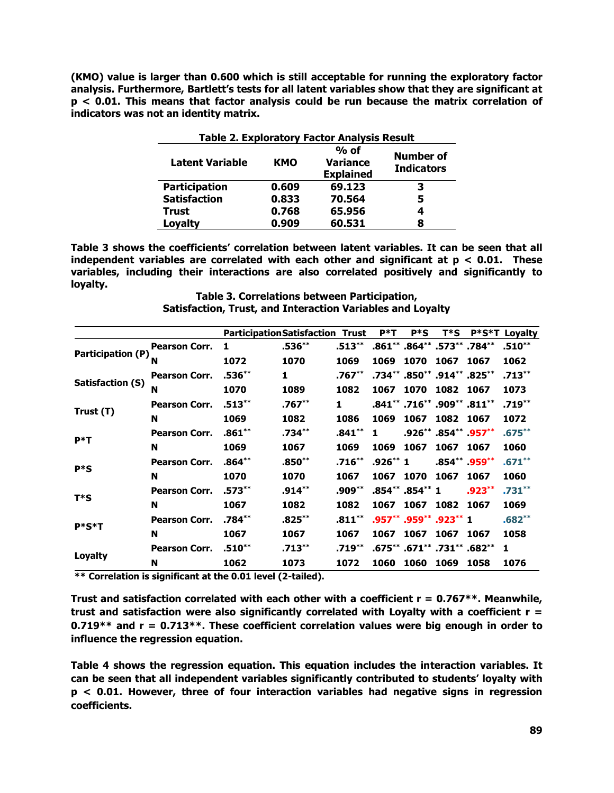**(KMO) value is larger than 0.600 which is still acceptable for running the exploratory factor analysis. Furthermore, Bartlett's tests for all latent variables show that they are significant at p < 0.01. This means that factor analysis could be run because the matrix correlation of indicators was not an identity matrix.** 

| <b>Table 2. Exploratory Factor Analysis Result</b>                                                               |       |        |   |  |  |
|------------------------------------------------------------------------------------------------------------------|-------|--------|---|--|--|
| $%$ of<br>Number of<br><b>Variance</b><br><b>Latent Variable</b><br>KMO<br><b>Indicators</b><br><b>Explained</b> |       |        |   |  |  |
| <b>Participation</b>                                                                                             | 0.609 | 69.123 | з |  |  |
| <b>Satisfaction</b>                                                                                              | 0.833 | 70.564 | 5 |  |  |
| <b>Trust</b>                                                                                                     | 0.768 | 65.956 | 4 |  |  |
| Loyalty                                                                                                          | 0.909 | 60.531 | 8 |  |  |

**Table 3 shows the coefficients' correlation between latent variables. It can be seen that all independent variables are correlated with each other and significant at p < 0.01. These variables, including their interactions are also correlated positively and significantly to loyalty.**

**Table 3. Correlations between Participation, Satisfaction, Trust, and Interaction Variables and Loyalty**

|                   |                      | <b>ParticipationSatisfaction Trust</b> |           |           | $P^*T$    | $P * S$         | T*S                         | $P*S*T$         | Loyalty   |
|-------------------|----------------------|----------------------------------------|-----------|-----------|-----------|-----------------|-----------------------------|-----------------|-----------|
| Participation (P) | <b>Pearson Corr.</b> | 1                                      | $.536***$ | $.513***$ |           |                 | .861** .864** .573** .784** |                 | $.510***$ |
|                   | N                    | 1072                                   | 1070      | 1069      | 1069      | 1070            | 1067                        | 1067            | 1062      |
| Satisfaction (S)  | <b>Pearson Corr.</b> | $.536***$                              | 1         | .767**    |           |                 | .734** .850** .914** .825*  |                 | $.713***$ |
|                   | N                    | 1070                                   | 1089      | 1082      | 1067      | 1070            | 1082                        | 1067            | 1073      |
|                   | <b>Pearson Corr.</b> | $.513***$                              | .767**    | 1         |           |                 | .841** .716** .909* .811**  |                 | $.719***$ |
| Trust (T)         | N                    | 1069                                   | 1082      | 1086      | 1069      | 1067            | 1082                        | 1067            | 1072      |
| $P^*T$            | <b>Pearson Corr.</b> | $.861***$                              | $.734***$ | $.841***$ | 1         |                 | $.926***$ .854** .957**     |                 | $.675***$ |
|                   | N                    | 1069                                   | 1067      | 1069      | 1069      | 1067            | 1067                        | 1067            | 1060      |
| $P * S$           | <b>Pearson Corr.</b> | $.864***$                              | .850**    | $.716***$ | $.926**1$ |                 |                             | $.854** .959**$ | $.671***$ |
|                   | N                    | 1070                                   | 1070      | 1067      | 1067      | 1070            | 1067                        | 1067            | 1060      |
| T*S               | <b>Pearson Corr.</b> | $.573***$                              | $.914***$ | .909**    |           | .854** .854** 1 |                             | $.923***$       | $.731***$ |
|                   | N                    | 1067                                   | 1082      | 1082      | 1067      | 1067            | 1082                        | 1067            | 1069      |
| P*S*T             | <b>Pearson Corr.</b> | $.784***$                              | $.825***$ | $.811***$ |           |                 | .957** .959** .923** 1      |                 | $.682***$ |
|                   | N                    | 1067                                   | 1067      | 1067      | 1067      | 1067            | 1067                        | 1067            | 1058      |
|                   | <b>Pearson Corr.</b> | $.510***$                              | $.713***$ | $.719***$ |           |                 | .675** .671** .731** .682** |                 | 1         |
| <b>Loyalty</b>    | N                    | 1062                                   | 1073      | 1072      | 1060      | 1060            | 1069                        | 1058            | 1076      |

**\*\* Correlation is significant at the 0.01 level (2-tailed).**

**Trust and satisfaction correlated with each other with a coefficient r = 0.767\*\*. Meanwhile, trust and satisfaction were also significantly correlated with Loyalty with a coefficient r = 0.719\*\* and r = 0.713\*\*. These coefficient correlation values were big enough in order to influence the regression equation.**

**Table 4 shows the regression equation. This equation includes the interaction variables. It can be seen that all independent variables significantly contributed to students' loyalty with p < 0.01. However, three of four interaction variables had negative signs in regression coefficients.**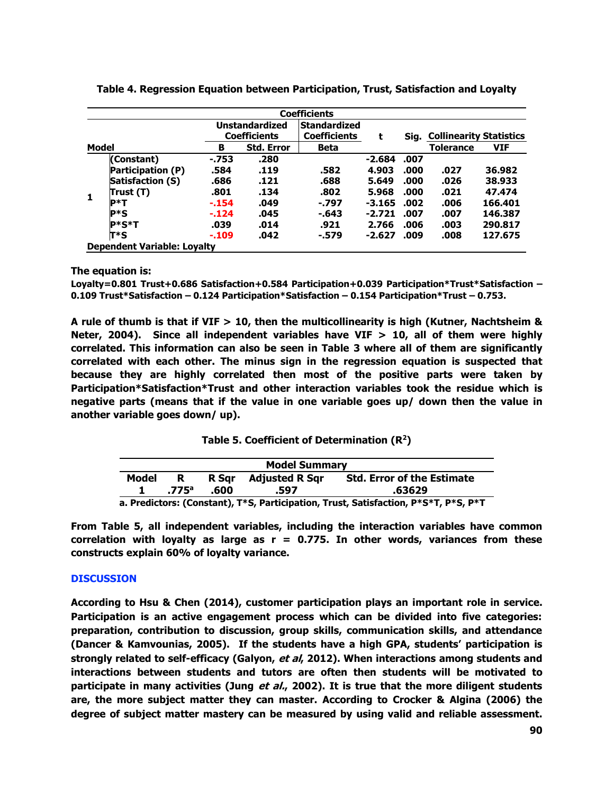|       |                                    |         |                       | <b>Coefficients</b> |          |      |                                     |            |
|-------|------------------------------------|---------|-----------------------|---------------------|----------|------|-------------------------------------|------------|
|       |                                    |         | <b>Unstandardized</b> | <b>Standardized</b> |          |      |                                     |            |
| Model |                                    |         | <b>Coefficients</b>   | <b>Coefficients</b> | t        |      | <b>Sig. Collinearity Statistics</b> |            |
|       |                                    | в       | <b>Std. Error</b>     | <b>Beta</b>         |          |      | <b>Tolerance</b>                    | <b>VIF</b> |
|       | (Constant)                         | $-753$  | .280                  |                     | $-2.684$ | .007 |                                     |            |
|       | Participation (P)                  | .584    | .119                  | .582                | 4.903    | .000 | .027                                | 36.982     |
|       | Satisfaction (S)                   | .686    | .121                  | .688                | 5.649    | .000 | .026                                | 38,933     |
|       | Trust (T)                          | .801    | .134                  | .802                | 5.968    | .000 | .021                                | 47.474     |
| 1     | <b>P*T</b>                         | $-154$  | .049                  | $-0.797$            | $-3.165$ | .002 | .006                                | 166.401    |
|       | $P * S$                            | $-.124$ | .045                  | $-.643$             | $-2.721$ | .007 | .007                                | 146.387    |
|       | $P*S*T$                            | .039    | .014                  | .921                | 2.766    | .006 | .003                                | 290.817    |
|       | $T^*S$                             | $-.109$ | .042                  | $-.579$             | $-2.627$ | .009 | .008                                | 127.675    |
|       | <b>Dependent Variable: Loyalty</b> |         |                       |                     |          |      |                                     |            |

**Table 4. Regression Equation between Participation, Trust, Satisfaction and Loyalty**

**The equation is:**

**Loyalty=0.801 Trust+0.686 Satisfaction+0.584 Participation+0.039 Participation\*Trust\*Satisfaction – 0.109 Trust\*Satisfaction – 0.124 Participation\*Satisfaction – 0.154 Participation\*Trust – 0.753.**

**A rule of thumb is that if VIF > 10, then the multicollinearity is high (Kutner, Nachtsheim & Neter, 2004). Since all independent variables have VIF > 10, all of them were highly correlated. This information can also be seen in Table 3 where all of them are significantly correlated with each other. The minus sign in the regression equation is suspected that because they are highly correlated then most of the positive parts were taken by Participation\*Satisfaction\*Trust and other interaction variables took the residue which is negative parts (means that if the value in one variable goes up/ down then the value in another variable goes down/ up).**

|  | Table 5. Coefficient of Determination $(R^2)$ |  |  |
|--|-----------------------------------------------|--|--|
|--|-----------------------------------------------|--|--|

| <b>Model Summary</b>                                                        |                |      |                      |                                   |  |  |
|-----------------------------------------------------------------------------|----------------|------|----------------------|-----------------------------------|--|--|
| Model                                                                       | R.             |      | R Sqr Adjusted R Sqr | <b>Std. Error of the Estimate</b> |  |  |
|                                                                             | $.775^{\circ}$ | .600 | .597                 | .63629                            |  |  |
| a Brodictore: (Constant) TXC Barticination Trust Catisfaction BXCXT BXC BXT |                |      |                      |                                   |  |  |

**a. Predictors: (Constant), T\*S, Participation, Trust, Satisfaction, P\*S\*T, P\*S, P\*T**

**From Table 5, all independent variables, including the interaction variables have common correlation with loyalty as large as r = 0.775. In other words, variances from these constructs explain 60% of loyalty variance.**

# **DISCUSSION**

**According to Hsu & Chen (2014), customer participation plays an important role in service. Participation is an active engagement process which can be divided into five categories: preparation, contribution to discussion, group skills, communication skills, and attendance (Dancer & Kamvounias, 2005). If the students have a high GPA, students' participation is strongly related to self-efficacy (Galyon, et al, 2012). When interactions among students and interactions between students and tutors are often then students will be motivated to participate in many activities (Jung et al., 2002). It is true that the more diligent students are, the more subject matter they can master. According to Crocker & Algina (2006) the degree of subject matter mastery can be measured by using valid and reliable assessment.**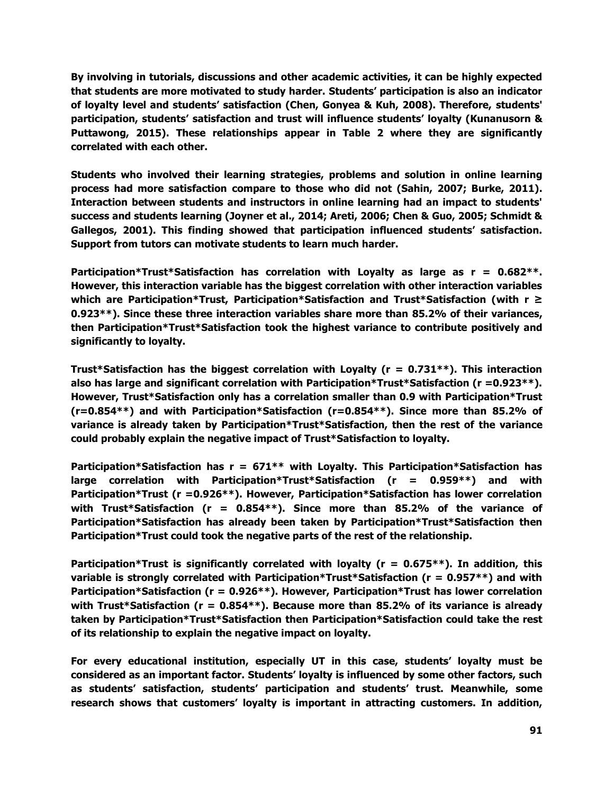**By involving in tutorials, discussions and other academic activities, it can be highly expected that students are more motivated to study harder. Students' participation is also an indicator of loyalty level and students' satisfaction (Chen, Gonyea & Kuh, 2008). Therefore, students' participation, students' satisfaction and trust will influence students' loyalty (Kunanusorn & Puttawong, 2015). These relationships appear in Table 2 where they are significantly correlated with each other.** 

**Students who involved their learning strategies, problems and solution in online learning process had more satisfaction compare to those who did not (Sahin, 2007; Burke, 2011). Interaction between students and instructors in online learning had an impact to students' success and students learning (Joyner et al., 2014; Areti, 2006; Chen & Guo, 2005; Schmidt & Gallegos, 2001). This finding showed that participation influenced students' satisfaction. Support from tutors can motivate students to learn much harder.**

**Participation\*Trust\*Satisfaction has correlation with Loyalty as large as r = 0.682\*\*. However, this interaction variable has the biggest correlation with other interaction variables which are Participation\*Trust, Participation\*Satisfaction and Trust\*Satisfaction (with r ≥ 0.923\*\*). Since these three interaction variables share more than 85.2% of their variances, then Participation\*Trust\*Satisfaction took the highest variance to contribute positively and significantly to loyalty.**

**Trust\*Satisfaction has the biggest correlation with Loyalty (r = 0.731\*\*). This interaction also has large and significant correlation with Participation\*Trust\*Satisfaction (r =0.923\*\*). However, Trust\*Satisfaction only has a correlation smaller than 0.9 with Participation\*Trust (r=0.854\*\*) and with Participation\*Satisfaction (r=0.854\*\*). Since more than 85.2% of variance is already taken by Participation\*Trust\*Satisfaction, then the rest of the variance could probably explain the negative impact of Trust\*Satisfaction to loyalty.**

**Participation\*Satisfaction has r = 671\*\* with Loyalty. This Participation\*Satisfaction has large correlation with Participation\*Trust\*Satisfaction (r = 0.959\*\*) and with Participation\*Trust (r =0.926\*\*). However, Participation\*Satisfaction has lower correlation with Trust\*Satisfaction (r = 0.854\*\*). Since more than 85.2% of the variance of Participation\*Satisfaction has already been taken by Participation\*Trust\*Satisfaction then Participation\*Trust could took the negative parts of the rest of the relationship.**

**Participation\*Trust is significantly correlated with loyalty (r = 0.675\*\*). In addition, this variable is strongly correlated with Participation\*Trust\*Satisfaction (r = 0.957\*\*) and with Participation\*Satisfaction (r = 0.926\*\*). However, Participation\*Trust has lower correlation with Trust\*Satisfaction (r = 0.854\*\*). Because more than 85.2% of its variance is already taken by Participation\*Trust\*Satisfaction then Participation\*Satisfaction could take the rest of its relationship to explain the negative impact on loyalty.**

**For every educational institution, especially UT in this case, students' loyalty must be considered as an important factor. Students' loyalty is influenced by some other factors, such as students' satisfaction, students' participation and students' trust. Meanwhile, some research shows that customers' loyalty is important in attracting customers. In addition,**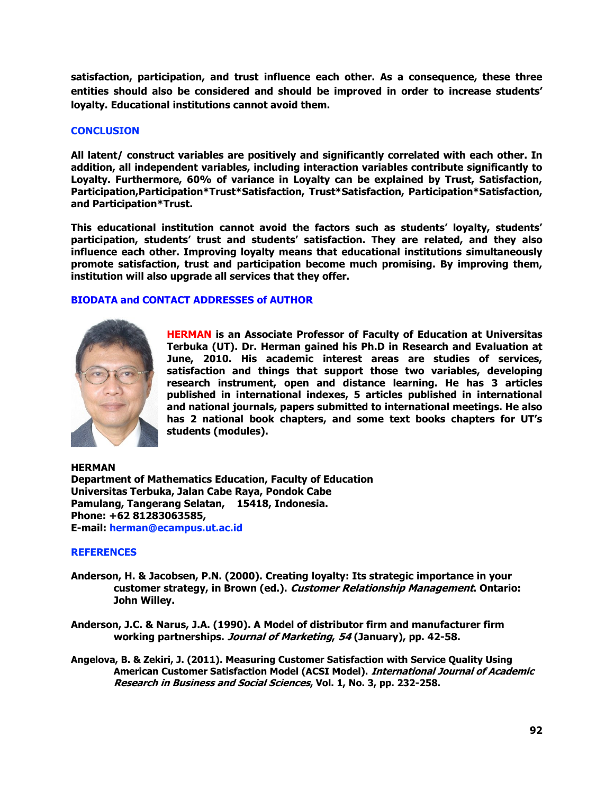**satisfaction, participation, and trust influence each other. As a consequence, these three entities should also be considered and should be improved in order to increase students' loyalty. Educational institutions cannot avoid them.**

## **CONCLUSION**

**All latent/ construct variables are positively and significantly correlated with each other. In addition, all independent variables, including interaction variables contribute significantly to Loyalty. Furthermore, 60% of variance in Loyalty can be explained by Trust, Satisfaction, Participation,Participation\*Trust\*Satisfaction, Trust\*Satisfaction, Participation\*Satisfaction, and Participation\*Trust.**

**This educational institution cannot avoid the factors such as students' loyalty, students' participation, students' trust and students' satisfaction. They are related, and they also influence each other. Improving loyalty means that educational institutions simultaneously promote satisfaction, trust and participation become much promising. By improving them, institution will also upgrade all services that they offer.**

# **BIODATA and CONTACT ADDRESSES of AUTHOR**



**HERMAN is an Associate Professor of Faculty of Education at Universitas Terbuka (UT). Dr. Herman gained his Ph.D in Research and Evaluation at June, 2010. His academic interest areas are studies of services, satisfaction and things that support those two variables, developing research instrument, open and distance learning. He has 3 articles published in international indexes, 5 articles published in international and national journals, papers submitted to international meetings. He also has 2 national book chapters, and some text books chapters for UT's students (modules).**

**HERMAN Department of Mathematics Education, Faculty of Education Universitas Terbuka, Jalan Cabe Raya, Pondok Cabe Pamulang, Tangerang Selatan, 15418, Indonesia. Phone: +62 81283063585, E-mail: herman@ecampus.ut.ac.id**

## **REFERENCES**

- **Anderson, H. & Jacobsen, P.N. (2000). Creating loyalty: Its strategic importance in your customer strategy, in Brown (ed.). Customer Relationship Management. Ontario: John Willey.**
- **Anderson, J.C. & Narus, J.A. (1990). A Model of distributor firm and manufacturer firm working partnerships. Journal of Marketing, 54 (January), pp. 42-58.**
- **Angelova, B. & Zekiri, J. (2011). Measuring Customer Satisfaction with Service Quality Using American Customer Satisfaction Model (ACSI Model). International Journal of Academic Research in Business and Social Sciences, Vol. 1, No. 3, pp. 232-258.**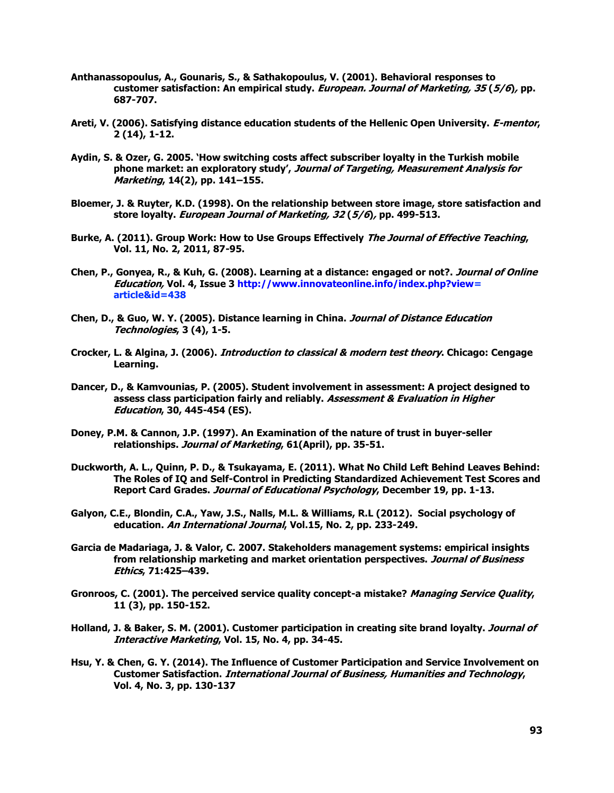- **Anthanassopoulus, A., Gounaris, S., & Sathakopoulus, V. (2001). Behavioral responses to customer satisfaction: An empirical study. European. Journal of Marketing, 35 (5/6), pp. 687-707.**
- **Areti, V. (2006). Satisfying distance education students of the Hellenic Open University. E-mentor, 2 (14), 1-12.**
- **Aydin, S. & Ozer, G. 2005. 'How switching costs affect subscriber loyalty in the Turkish mobile phone market: an exploratory study', Journal of Targeting, Measurement Analysis for Marketing, 14(2), pp. 141–155.**
- **Bloemer, J. & Ruyter, K.D. (1998). On the relationship between store image, store satisfaction and store loyalty. European Journal of Marketing, 32 (5/6), pp. 499-513.**
- **Burke, A. (2011). Group Work: How to Use Groups Effectively The Journal of Effective Teaching, Vol. 11, No. 2, 2011, 87-95.**
- **Chen, P., Gonyea, R., & Kuh, G. (2008). Learning at a distance: engaged or not?. Journal of Online Education, Vol. 4, Issue 3 [http://www.innovateonline.info/index.php?view=](http://www.innovateonline.info/index.php?view) article&id=438**
- **Chen, D., & Guo, W. Y. (2005). Distance learning in China. Journal of Distance Education Technologies, 3 (4), 1-5.**
- **Crocker, L. & Algina, J. (2006). Introduction to classical & modern test theory. Chicago: Cengage Learning.**
- **Dancer, D., & Kamvounias, P. (2005). Student involvement in assessment: A project designed to assess class participation fairly and reliably. Assessment & Evaluation in Higher Education, 30, 445-454 (ES).**
- **Doney, P.M. & Cannon, J.P. (1997). An Examination of the nature of trust in buyer-seller relationships. Journal of Marketing, 61(April), pp. 35-51.**
- **Duckworth, A. L., Quinn, P. D., & Tsukayama, E. (2011). What No Child Left Behind Leaves Behind: The Roles of IQ and Self-Control in Predicting Standardized Achievement Test Scores and Report Card Grades. Journal of Educational Psychology, December 19, pp. 1-13.**
- **Galyon, C.E., Blondin, C.A., Yaw, J.S., Nalls, M.L. & Williams, R.L (2012). Social psychology of education. An International Journal, Vol.15, No. 2, pp. 233-249.**
- **Garcia de Madariaga, J. & Valor, C. 2007. Stakeholders management systems: empirical insights from relationship marketing and market orientation perspectives. Journal of Business Ethics, 71:425–439.**
- **Gronroos, C. (2001). The perceived service quality concept-a mistake? Managing Service Quality, 11 (3), pp. 150-152.**
- **Holland, J. & Baker, S. M. (2001). Customer participation in creating site brand loyalty. Journal of Interactive Marketing, Vol. 15, No. 4, pp. 34-45.**
- **Hsu, Y. & Chen, G. Y. (2014). The Influence of Customer Participation and Service Involvement on Customer Satisfaction. International Journal of Business, Humanities and Technology, Vol. 4, No. 3, pp. 130-137**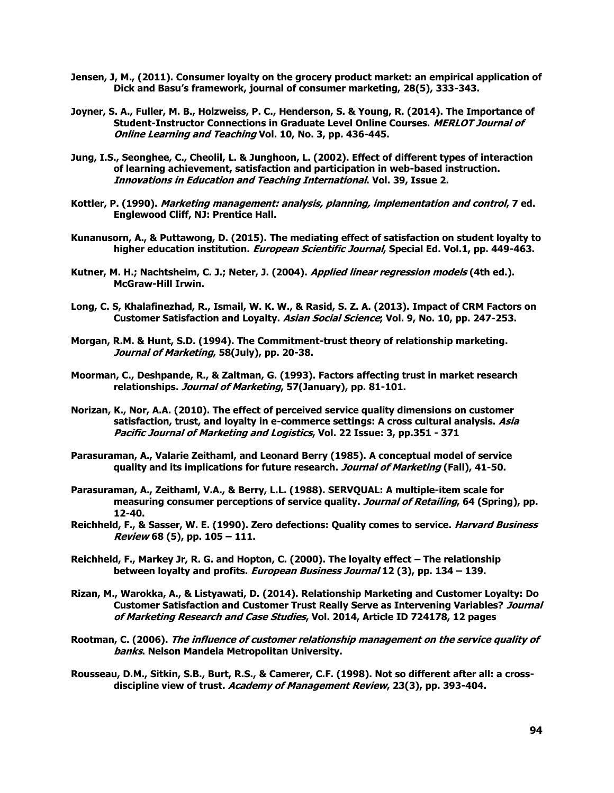- **Jensen, J, M., (2011). Consumer loyalty on the grocery product market: an empirical application of Dick and Basu's framework, journal of consumer marketing, 28(5), 333-343.**
- **Joyner, S. A., Fuller, M. B., Holzweiss, P. C., Henderson, S. & Young, R. (2014). The Importance of Student-Instructor Connections in Graduate Level Online Courses. MERLOT Journal of Online Learning and Teaching Vol. 10, No. 3, pp. 436-445.**
- **Jung, I.S., Seonghee, C., Cheolil, L. & Junghoon, L. (2002). Effect of different types of interaction of learning achievement, satisfaction and participation in web-based instruction. Innovations in Education and Teaching International. Vol. 39, Issue 2.**
- **Kottler, P. (1990). Marketing management: analysis, planning, implementation and control, 7 ed. Englewood Cliff, NJ: Prentice Hall.**
- **Kunanusorn, A., & Puttawong, D. (2015). The mediating effect of satisfaction on student loyalty to higher education institution. European Scientific Journal, Special Ed. Vol.1, pp. 449-463.**
- **Kutner, M. H.; Nachtsheim, C. J.; Neter, J. (2004). Applied linear regression models (4th ed.). McGraw-Hill Irwin.**
- **Long, C. S, Khalafinezhad, R., Ismail, W. K. W., & Rasid, S. Z. A. (2013). Impact of CRM Factors on Customer Satisfaction and Loyalty. Asian Social Science; Vol. 9, No. 10, pp. 247-253.**
- **Morgan, R.M. & Hunt, S.D. (1994). The Commitment-trust theory of relationship marketing. Journal of Marketing, 58(July), pp. 20-38.**
- **Moorman, C., Deshpande, R., & Zaltman, G. (1993). Factors affecting trust in market research relationships. Journal of Marketing, 57(January), pp. 81-101.**
- **Norizan, K., Nor, A.A. (2010). The effect of perceived service quality dimensions on customer satisfaction, trust, and loyalty in e-commerce settings: A cross cultural analysis. Asia Pacific Journal of Marketing and Logistics, Vol. 22 Issue: 3, pp.351 - 371**
- **Parasuraman, A., Valarie Zeithaml, and Leonard Berry (1985). A conceptual model of service quality and its implications for future research. Journal of Marketing (Fall), 41-50.**
- **Parasuraman, A., Zeithaml, V.A., & Berry, L.L. (1988). SERVQUAL: A multiple-item scale for measuring consumer perceptions of service quality. Journal of Retailing, 64 (Spring), pp. 12-40.**
- **Reichheld, F., & Sasser, W. E. (1990). Zero defections: Quality comes to service. Harvard Business Review 68 (5), pp. 105 – 111.**
- **Reichheld, F., Markey Jr, R. G. and Hopton, C. (2000). The loyalty effect – The relationship between loyalty and profits. European Business Journal 12 (3), pp. 134 – 139.**
- **Rizan, M., Warokka, A., & Listyawati, D. (2014). Relationship Marketing and Customer Loyalty: Do Customer Satisfaction and Customer Trust Really Serve as Intervening Variables? Journal of Marketing Research and Case Studies, Vol. 2014, Article ID 724178, 12 pages**
- **Rootman, C. (2006). The influence of customer relationship management on the service quality of banks. Nelson Mandela Metropolitan University.**
- **Rousseau, D.M., Sitkin, S.B., Burt, R.S., & Camerer, C.F. (1998). Not so different after all: a crossdiscipline view of trust. Academy of Management Review, 23(3), pp. 393-404.**